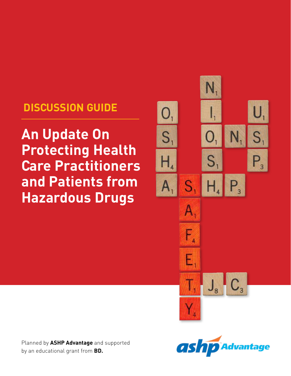# **DISCUSSION GUIDE**

**An Update On Protecting Health Care Practitioners and Patients from Hazardous Drugs**



Planned by **ASHP Advantage** and supported by an educational grant from **BD.**

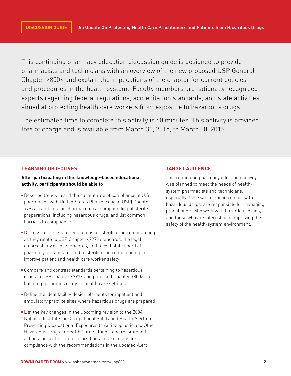This continuing pharmacy education discussion guide is designed to provide pharmacists and technicians with an overview of the new proposed USP General Chapter <800> and explain the implications of the chapter for current policies and procedures in the health system. Faculty members are nationally recognized experts regarding federal regulations, accreditation standards, and state activities aimed at protecting health care workers from exposure to hazardous drugs.

The estimated time to complete this activity is 60 minutes. This activity is provided free of charge and is available from March 31, 2015, to March 30, 2016.

# **LEARNING OBJECTIVES**

# **After participating in this knowledge-based educational activity, participants should be able to**

- **Describe trends in and the current rate of compliance of U.S.** pharmacies with United States Pharmacopeia (USP) Chapter <797> standards for pharmaceutical compounding of sterile preparations, including hazardous drugs, and list common barriers to compliance
- Discuss current state regulations for sterile drug compounding as they relate to USP Chapter <797> standards, the legal enforceability of the standards, and recent state board of pharmacy activities related to sterile drug compounding to improve patient and health care worker safety
- **Compare and contrast standards pertaining to hazardous** drugs in USP Chapter <797> and proposed Chapter <800> on handling hazardous drugs in health care settings
- Define the ideal facility design elements for inpatient and ambulatory practice sites where hazardous drugs are prepared
- **List the key changes in the upcoming revision to the 2004** National Institute for Occupational Safety and Health Alert on Preventing Occupational Exposures to Antineoplastic and Other Hazardous Drugs in Health Care Settings, and recommend actions for health care organizations to take to ensure compliance with the recommendations in the updated Alert

# **TARGET AUDIENCE**

This continuing pharmacy education activity was planned to meet the needs of healthsystem pharmacists and technicians, especially those who come in contact with hazardous drugs, are responsible for managing practitioners who work with hazardous drugs, and those who are interested in improving the safety of the health-system environment.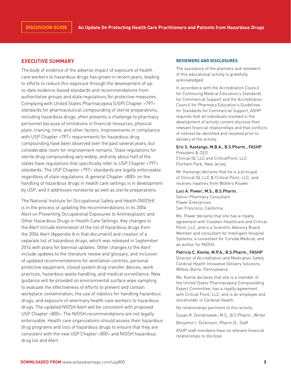# **EXECUTIVE SUMMARY**

The body of evidence of the adverse impact of exposure of health care workers to hazardous drugs has grown in recent years, leading to efforts to reduce this exposure through the development of upto-date evidence-based standards and recommendations from authoritative groups and state regulations for protective measures. Complying with United States Pharmacopeia (USP) Chapter <797> standards for pharmaceutical compounding of sterile preparations, including hazardous drugs, often presents a challenge to pharmacy personnel because of limitations in financial resources, physical plant, training, time, and other factors. Improvements in compliance with USP Chapter <797> requirements for hazardous drug compounding have been observed over the past several years, but considerable room for improvement remains. State regulations for sterile drug compounding vary widely, and only about half of the states have regulations that specifically refer to USP Chapter <797> standards. The USP Chapter <797> standards are legally enforceable regardless of state regulations. A general Chapter <800> on the handling of hazardous drugs in health care settings is in development by USP, and it addresses nonsterile as well as sterile preparations.

The National Institute for Occupational Safety and Health (NIOSH) is in the process of updating the recommendations in its 2004 Alert on Preventing Occupational Exposures to Antineoplastic and Other Hazardous Drugs in Health Care Settings. Key changes to the Alert include elimination of the list of hazardous drugs from the 2004 Alert (Appendix A in that document) and creation of a separate list of hazardous drugs, which was released in September 2014 with plans for biennial updates. Other changes to the Alert include updates to the literature review and glossary, and inclusion of updated recommendations for ventilation controls, personal protective equipment, closed system drug-transfer devices, work practices, hazardous waste handling, and medical surveillance. New guidance will be provided on environmental surface wipe sampling to evaluate the effectiveness of efforts to prevent and contain workplace contamination, the use of robotics for handling hazardous drugs, and exposure of veterinary health care workers to hazardous drugs. The updated NIOSH Alert will be consistent with proposed USP Chapter <800>. The NIOSH recommendations are not legally enforceable. Health care organizations should assess their hazardous drug programs and lists of hazardous drugs to ensure that they are consistent with the new USP Chapter <800> and NIOSH hazardous drug list and Alert.

#### **REVIEWERS AND DISCLOSURES**

The assistance of the planners and reviewers of this educational activity is gratefully acknowledged.

In accordance with the Accreditation Council for Continuing Medical Education's Standards for Commercial Support and the Accreditation Council for Pharmacy Education's Guidelines for Standards for Commercial Support, ASHP requires that all individuals involved in the development of activity content disclose their relevant financial relationships and that conflicts of interest be identified and resolved prior to delivery of the activity.

#### Eric S. Kastango, M.B.A., B.S.Pharm., FASHP President & CEO

Clinical IQ, LLC and CriticalPoint, LLC Florham Park, New Jersey

Mr. Kastango declares that he is a principal of Clinical IQ, LLC & Critical Point, LLC; and receives royalties from Wolters Kluwer.

#### Luci A. Power, M.S., B.S.Pharm.

Senior Pharmacy Consultant Power Enterprises San Francisco, California

Ms. Power declares that she has a royalty agreement with Covidien Healthcare and Critical Point, LLC, and is a Scientific Advisory Board Member and consultant for Intelligent Hospital Systems; a consultant for Corvida Medical; and an author for NIOSH.

Patricia C. Kienle, M.P.A., B.S.Pharm., FASHP Director of Accreditation and Medication Safety Cardinal Health Innovative Delivery Solutions Wilkes-Barre, Pennsylvania

Ms. Kienle declares that she is a member of the United States Pharmacopeia Compounding Expert Committee, has a royalty agreement with Critical Point, LLC, and is an employee and stockholder in Cardinal Health.

No relationships pertinent to this activity:

Susan R. Dombrowski, M.S., B.S.Pharm., Writer

Benjamin I. Dickinson, Pharm.D., Staff

ASHP staff members have no relevant financial relationships to disclose.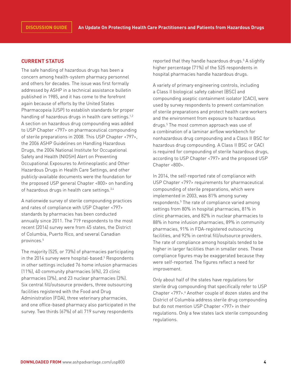# **CURRENT STATUS**

The safe handling of hazardous drugs has been a concern among health-system pharmacy personnel and others for decades. The issue was first formally addressed by ASHP in a technical assistance bulletin published in 1985, and it has come to the forefront again because of efforts by the United States Pharmacopeia (USP) to establish standards for proper handling of hazardous drugs in health care settings.<sup>1,2</sup> A section on hazardous drug compounding was added to USP Chapter <797> on pharmaceutical compounding of sterile preparations in 2008. This USP Chapter <797>, the 2006 ASHP Guidelines on Handling Hazardous Drugs, the 2004 National Institute for Occupational Safety and Health (NIOSH) Alert on Preventing Occupational Exposures to Antineoplastic and Other Hazardous Drugs in Health Care Settings, and other publicly-available documents were the foundation for the proposed USP general Chapter <800> on handling of hazardous drugs in health care settings.<sup>3,4</sup>

A nationwide survey of sterile compounding practices and rates of compliance with USP Chapter <797> standards by pharmacies has been conducted annually since 2011. The 719 respondents to the most recent (2014) survey were from 45 states, the District of Columbia, Puerto Rico, and several Canadian provinces.5

The majority (525, or 73%) of pharmacies participating in the 2014 survey were hospital-based.5 Respondents in other settings included 76 home infusion pharmacies (11%), 40 community pharmacies (6%), 23 clinic pharmacies (3%), and 23 nuclear pharmacies (3%). Six central fill/outsource providers, three outsourcing facilities registered with the Food and Drug Administration (FDA), three veterinary pharmacies, and one office-based pharmacy also participated in the survey. Two thirds (67%) of all 719 survey respondents

reported that they handle hazardous drugs.<sup>5</sup> A slightly higher percentage (71%) of the 525 respondents in hospital pharmacies handle hazardous drugs.

A variety of primary engineering controls, including a Class II biological safety cabinet (BSC) and compounding aseptic containment isolator (CACI), were used by survey respondents to prevent contamination of sterile preparations and protect health care workers and the environment from exposure to hazardous drugs.5 The most common approach was use of a combination of a laminar airflow workbench for nonhazardous drug compounding and a Class II BSC for hazardous drug compounding. A Class II BSC or CACI is required for compounding of sterile hazardous drugs, according to USP Chapter <797> and the proposed USP Chapter <800>.

In 2014, the self-reported rate of compliance with USP Chapter <797> requirements for pharmaceutical compounding of sterile preparations, which were implemented in 2003, was 81% among survey respondents.<sup>5</sup> The rate of compliance varied among settings from 80% in hospital pharmacies, 81% in clinic pharmacies, and 82% in nuclear pharmacies to 88% in home infusion pharmacies, 89% in community pharmacies, 91% in FDA-registered outsourcing facilities, and 92% in central fill/outsource providers. The rate of compliance among hospitals tended to be higher in larger facilities than in smaller ones. These compliance figures may be exaggerated because they were self-reported. The figures reflect a need for improvement.

Only about half of the states have regulations for sterile drug compounding that specifically refer to USP Chapter <797>.<sup>6</sup> Another couple of dozen states and the District of Columbia address sterile drug compounding but do not mention USP Chapter <797> in their regulations. Only a few states lack sterile compounding regulations.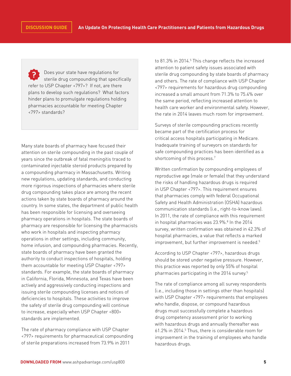Does your state have regulations for sterile drug compounding that specifically refer to USP Chapter <797>? If not, are there plans to develop such regulations? What factors hinder plans to promulgate regulations holding pharmacies accountable for meeting Chapter <797> standards?

Many state boards of pharmacy have focused their attention on sterile compounding in the past couple of years since the outbreak of fatal meningitis traced to contaminated injectable steroid products prepared by a compounding pharmacy in Massachusetts. Writing new regulations, updating standards, and conducting more rigorous inspections of pharmacies where sterile drug compounding takes place are among the recent actions taken by state boards of pharmacy around the country. In some states, the department of public health has been responsible for licensing and overseeing pharmacy operations in hospitals. The state boards of pharmacy are responsible for licensing the pharmacists who work in hospitals and inspecting pharmacy operations in other settings, including community, home infusion, and compounding pharmacies. Recently, state boards of pharmacy have been granted the authority to conduct inspections of hospitals, holding them accountable for meeting USP Chapter <797> standards. For example, the state boards of pharmacy in California, Florida, Minnesota, and Texas have been actively and aggressively conducting inspections and issuing sterile compounding licenses and notices of deficiencies to hospitals. These activities to improve the safety of sterile drug compounding will continue to increase, especially when USP Chapter <800> standards are implemented.

The rate of pharmacy compliance with USP Chapter <797> requirements for pharmaceutical compounding of sterile preparations increased from 73.9% in 2011

to 81.3% in 2014.<sup>5</sup> This change reflects the increased attention to patient safety issues associated with sterile drug compounding by state boards of pharmacy and others. The rate of compliance with USP Chapter <797> requirements for hazardous drug compounding increased a small amount from 71.3% to 75.4% over the same period, reflecting increased attention to health care worker and environmental safety. However, the rate in 2014 leaves much room for improvement.

Surveys of sterile compounding practices recently became part of the certification process for critical access hospitals participating in Medicare. Inadequate training of surveyors on standards for safe compounding practices has been identified as a shortcoming of this process.<sup>7</sup>

Written confirmation by compounding employees of reproductive age (male or female) that they understand the risks of handling hazardous drugs is required in USP Chapter <797>. This requirement ensures that pharmacies comply with federal Occupational Safety and Health Administration (OSHA) hazardous communication standards (i.e., right-to-know laws). In 2011, the rate of compliance with this requirement in hospital pharmacies was 23.9%.<sup>8</sup> In the 2014 survey, written confirmation was obtained in 42.3% of hospital pharmacies, a value that reflects a marked improvement, but further improvement is needed.<sup>5</sup>

According to USP Chapter <797>, hazardous drugs should be stored under negative pressure. However, this practice was reported by only 55% of hospital pharmacies participating in the 2014 survey.<sup>5</sup>

The rate of compliance among all survey respondents (i.e., including those in settings other than hospitals) with USP Chapter <797> requirements that employees who handle, dispose, or compound hazardous drugs must successfully complete a hazardous drug competency assessment prior to working with hazardous drugs and annually thereafter was 61.2% in 2014.<sup>5</sup> Thus, there is considerable room for improvement in the training of employees who handle hazardous drugs.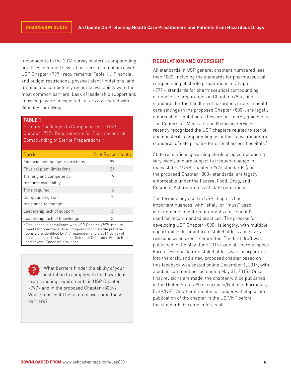Respondents to the 2014 survey of sterile compounding practices identified several barriers to compliance with USP Chapter <797> requirements (Table 1).<sup>5</sup> Financial and budget restrictions, physical plant limitations, and training and competency resource availability were the most common barriers. Lack of leadership support and knowledge were unexpected factors associated with difficulty complying.

# **TABLE 1.**

Primary Challenges to Compliance with USP Chapter <797> Requirements for Pharmaceutical Compounding of Sterile Preparations<sup>5,a</sup>

| <b>Barrier</b>                    | % of Respondents |
|-----------------------------------|------------------|
| Financial and budget restrictions | 27               |
| Physical plant limitations        | 21               |
| Training and competency           | 19               |
| resource availability             |                  |
| Time required                     | 16               |
| Compounding staff                 | 7                |
| resistance to change              |                  |
| Leadership lack of support        | 3                |
| Leadership lack of knowledge      | 2                |

a Challenges to compliance with USP Chapter <797> requirements for pharmaceutical compounding of sterile preparations were identified by 719 respondents to a 2014 survey of pharmacies in 45 states, the District of Columbia, Puerto Rico, and several Canadian provinces.

What barriers hinder the ability of your institution to comply with the hazardous drug handling requirements in USP Chapter <797> and in the proposed Chapter <800>? What steps could be taken to overcome these barriers?

# **REGULATION AND OVERSIGHT**

All standards in USP general chapters numbered less than 1000, including the standards for pharmaceutical compounding of sterile preparations in Chapter <797>, standards for pharmaceutical compounding of nonsterile preparations in Chapter <795>, and standards for the handling of hazardous drugs in health care settings in the proposed Chapter <800>, are legally enforceable regulations. They are not merely guidelines. The Centers for Medicare and Medicaid Services recently recognized the USP chapters related to sterile and nonsterile compounding as authoritative minimum standards of safe practice for critical access hospitals.<sup>9</sup>

State regulations governing sterile drug compounding vary widely and are subject to frequent change in many states.6 USP Chapter <797> standards (and the proposed Chapter <800> standards) are legally enforceable under the Federal Food, Drug, and Cosmetic Act, regardless of state regulations.

The terminology used in USP chapters has important nuances, with "shall" or "must" used in statements about requirements and "should" used for recommended practices. The process for developing USP Chapter <800> is lengthy, with multiple opportunities for input from stakeholders and several revisions by an expert committee. The first draft was published in the May-June 2014 issue of Pharmacopeial Forum. Feedback from stakeholders was incorporated into the draft, and a new proposed chapter based on this feedback was posted online December 1, 2014, with a public comment period ending May 31, 2015.<sup>2</sup> Once final revisions are made, the chapter will be published in the United States Pharmacopeia/National Formulary (USP/NF). Another 6 months or longer will elapse after publication of the chapter in the USP/NF before the standards become enforceable.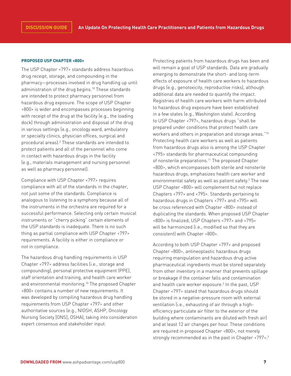#### **PROPOSED USP CHAPTER <800>**

The USP Chapter <797> standards address hazardous drug receipt, storage, and compounding in the pharmacy—processes involved in drug handling up until administration of the drug begins.<sup>10</sup> These standards are intended to protect pharmacy personnel from hazardous drug exposure. The scope of USP Chapter <800> is wider and encompasses processes beginning with receipt of the drug at the facility (e.g., the loading dock) through administration and disposal of the drug in various settings (e.g., oncology ward, ambulatory or specialty clinics, physician offices, surgical and procedural areas).<sup>2</sup> These standards are intended to protect patients and all of the personnel who come in contact with hazardous drugs in the facility (e.g., materials management and nursing personnel as well as pharmacy personnel).

Compliance with USP Chapter <797> requires compliance with all of the standards in the chapter, not just some of the standards. Compliance is analogous to listening to a symphony because all of the instruments in the orchestra are required for a successful performance. Selecting only certain musical instruments or "cherry picking" certain elements of the USP standards is inadequate. There is no such thing as partial compliance with USP Chapter <797> requirements. A facility is either in compliance or not in compliance.

The hazardous drug handling requirements in USP Chapter <797> address facilities (i.e., storage and compounding), personal protective equipment (PPE), staff orientation and training, and health care worker and environmental monitoring.<sup>10</sup> The proposed Chapter <800> contains a number of new requirements. It was developed by compiling hazardous drug handling requirements from USP Chapter <797> and other authoritative sources (e.g., NIOSH, ASHP, Oncology Nursing Society [ONS], OSHA), taking into consideration expert consensus and stakeholder input.

Protecting patients from hazardous drugs has been and will remain a goal of USP standards. Data are gradually emerging to demonstrate the short- and long-term effects of exposure of health care workers to hazardous drugs (e.g., genotoxicity, reproductive risks), although additional data are needed to quantify the impact. Registries of health care workers with harm attributed to hazardous drug exposure have been established in a few states (e.g., Washington state). According to USP Chapter <797>, hazardous drugs "shall be prepared under conditions that protect health care workers and others in preparation and storage areas."10 Protecting health care workers as well as patients from hazardous drugs also is among the USP Chapter <795> standards for pharmaceutical compounding of nonsterile preparations.<sup>11</sup> The proposed Chapter <800>, which encompasses both sterile and nonsterile hazardous drugs, emphasizes health care worker and environmental safety as well as patient safety.<sup>2</sup> The new USP Chapter <800> will complement but not replace Chapters <797> and <795>. Standards pertaining to hazardous drugs in Chapters <797> and <795> will be cross referenced with Chapter <800> instead of duplicating the standards. When proposed USP Chapter <800> is finalized, USP Chapters <797> and <795> will be harmonized (i.e., modified so that they are consistent) with Chapter <800>.

According to both USP Chapter <797> and proposed Chapter <800>, antineoplastic hazardous drugs requiring manipulation and hazardous drug active pharmaceutical ingredients must be stored separately from other inventory in a manner that prevents spillage or breakage if the container falls and contamination and health care worker exposure.<sup>2</sup> In the past, USP Chapter <797> stated that hazardous drugs should be stored in a negative-pressure room with external ventilation (i.e., exhausting of air through a highefficiency particulate air filter to the exterior of the building where contaminants are diluted with fresh air) and at least 12 air changes per hour. These conditions are required in proposed Chapter <800>, not merely strongly recommended as in the past in Chapter <797>.<sup>2</sup>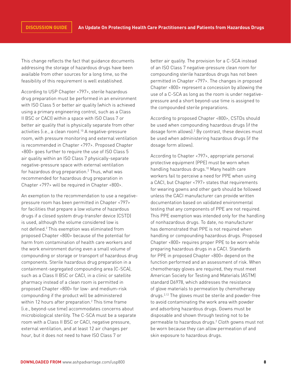This change reflects the fact that guidance documents addressing the storage of hazardous drugs have been available from other sources for a long time, so the feasibility of this requirement is well established.

According to USP Chapter <797>, sterile hazardous drug preparation must be performed in an environment with ISO Class 5 or better air quality (which is achieved using a primary engineering control, such as a Class II BSC or CACI) within a space with ISO Class 7 or better air quality that is physically separate from other activities (i.e., a clean room).<sup>10</sup> A negative-pressure room, with pressure monitoring and external ventilation is recommended in Chapter <797>. Proposed Chapter <800> goes further to require the use of ISO Class 5 air quality within an ISO Class 7 physically-separate negative-pressure space with external ventilation for hazardous drug preparation. $<sup>2</sup>$  Thus, what was</sup> recommended for hazardous drug preparation in Chapter <797> will be required in Chapter <800>.

An exemption to the recommendation to use a negativepressure room has been permitted in Chapter <797> for facilities that prepare a low volume of hazardous drugs if a closed system drug-transfer device (CSTD) is used, although the volume considered low is not defined.2 This exemption was eliminated from proposed Chapter <800> because of the potential for harm from contamination of health care workers and the work environment during even a small volume of compounding or storage or transport of hazardous drug components. Sterile hazardous drug preparation in a containment-segregated compounding area (C-SCA), such as a Class II BSC or CACI, in a clinic or satellite pharmacy instead of a clean room is permitted in proposed Chapter <800> for low- and medium-risk compounding if the product will be administered within 12 hours after preparation.2 This time frame (i.e., beyond-use time) accommodates concerns about microbiological sterility. The C-SCA must be a separate room with a Class II BSC or CACI, negative pressure, external ventilation, and at least 12 air changes per hour, but it does not need to have ISO Class 7 or

better air quality. The provision for a C-SCA instead of an ISO Class 7 negative-pressure clean room for compounding sterile hazardous drugs has not been permitted in Chapter <797>. The changes in proposed Chapter <800> represent a concession by allowing the use of a C-SCA as long as the room is under negativepressure and a short beyond-use time is assigned to the compounded sterile preparations.

According to proposed Chapter <800>, CSTDs should be used when compounding hazardous drugs (if the dosage form allows).<sup>2</sup> By contrast, these devices must be used when administering hazardous drugs (if the dosage form allows).

According to Chapter <797>, appropriate personal protective equipment (PPE) must be worn when handling hazardous drugs.<sup>10</sup> Many health care workers fail to perceive a need for PPE when using a CACI, but Chapter <797> states that requirements for wearing gowns and other garb should be followed unless the CACI manufacturer can provide written documentation based on validated environmental testing that any components of PPE are not required. This PPE exemption was intended only for the handling of nonhazardous drugs. To date, no manufacturer has demonstrated that PPE is not required when handling or compounding hazardous drugs. Proposed Chapter <800> requires proper PPE to be worn while preparing hazardous drugs in a CACI. Standards for PPE in proposed Chapter <800> depend on the function performed and an assessment of risk. When chemotherapy gloves are required, they must meet American Society for Testing and Materials (ASTM) standard D6978, which addresses the resistance of glove materials to permeation by chemotherapy drugs.2,12 The gloves must be sterile and powder-free to avoid contaminating the work area with powder and adsorbing hazardous drugs. Gowns must be disposable and shown through testing not to be permeable to hazardous drugs.2 Cloth gowns must not be worn because they can allow permeation of and skin exposure to hazardous drugs.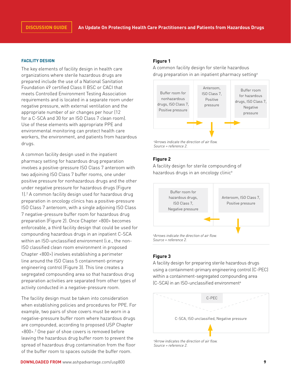#### **FACILITY DESIGN**

The key elements of facility design in health care organizations where sterile hazardous drugs are prepared include the use of a National Sanitation Foundation 49 certified Class II BSC or CACI that meets Controlled Environment Testing Association requirements and is located in a separate room under negative pressure, with external ventilation and the appropriate number of air changes per hour (12 for a C-SCA and 30 for an ISO Class 7 clean room). Use of these elements with appropriate PPE and environmental monitoring can protect health care workers, the environment, and patients from hazardous drugs.

A common facility design used in the inpatient pharmacy setting for hazardous drug preparation involves a positive-pressure ISO Class 7 anteroom with two adjoining ISO Class 7 buffer rooms, one under positive pressure for nonhazardous drugs and the other under negative pressure for hazardous drugs (Figure 1).2 A common facility design used for hazardous drug preparation in oncology clinics has a positive-pressure ISO Class 7 anteroom, with a single adjoining ISO Class 7 negative-pressure buffer room for hazardous drug preparation (Figure 2). Once Chapter <800> becomes enforceable, a third facility design that could be used for compounding hazardous drugs in an inpatient C-SCA within an ISO-unclassified environment (i.e., the non-ISO classified clean room environment in proposed Chapter <800>) involves establishing a perimeter line around the ISO Class 5 containment-primary engineering control (Figure 3). This line creates a segregated compounding area so that hazardous drug preparation activities are separated from other types of activity conducted in a negative-pressure room.

The facility design must be taken into consideration when establishing policies and procedures for PPE. For example, two pairs of shoe covers must be worn in a negative-pressure buffer room where hazardous drugs are compounded, according to proposed USP Chapter <800>.2 One pair of shoe covers is removed before leaving the hazardous drug buffer room to prevent the spread of hazardous drug contamination from the floor of the buffer room to spaces outside the buffer room.

# **Figure 1**

A common facility design for sterile hazardous drug preparation in an inpatient pharmacy setting<sup>a</sup>



# **Figure 2**

A facility design for sterile compounding of hazardous drugs in an oncology clinic<sup>a</sup>



# **Figure 3**

A facility design for preparing sterile hazardous drugs using a containment-primary engineering control (C-PEC) within a containment-segregated compounding area (C-SCA) in an ISO-unclassified environmenta



*a Arrow indicates the direction of air flow. Source = reference 2.*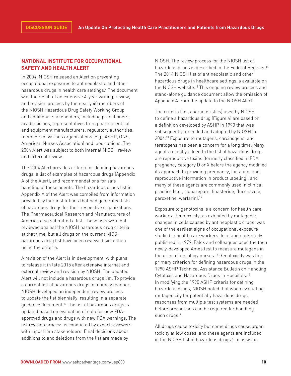# **NATIONAL INSTITUTE FOR OCCUPATIONAL SAFETY AND HEALTH ALERT**

In 2004, NIOSH released an Alert on preventing occupational exposures to antineoplastic and other hazardous drugs in health care settings.<sup>4</sup> The document was the result of an extensive 4-year writing, review, and revision process by the nearly 40 members of the NIOSH Hazardous Drug Safety Working Group and additional stakeholders, including practitioners, academicians, representatives from pharmaceutical and equipment manufacturers, regulatory authorities, members of various organizations (e.g., ASHP, ONS, American Nurses Association) and labor unions. The 2004 Alert was subject to both internal NIOSH review and external review.

The 2004 Alert provides criteria for defining hazardous drugs, a list of examples of hazardous drugs (Appendix A of the Alert), and recommendations for safe handling of these agents. The hazardous drugs list in Appendix A of the Alert was compiled from information provided by four institutions that had generated lists of hazardous drugs for their respective organizations. The Pharmaceutical Research and Manufacturers of America also submitted a list. These lists were not reviewed against the NIOSH hazardous drug criteria at that time, but all drugs on the current NIOSH hazardous drug list have been reviewed since then using the criteria.

A revision of the Alert is in development, with plans to release it in late 2015 after extensive internal and external review and revision by NIOSH. The updated Alert will not include a hazardous drugs list. To provide a current list of hazardous drugs in a timely manner, NIOSH developed an independent review process to update the list biennially, resulting in a separate guidance document.13 The list of hazardous drugs is updated based on evaluation of data for new FDAapproved drugs and drugs with new FDA warnings. The list revision process is conducted by expert reviewers with input from stakeholders. Final decisions about additions to and deletions from the list are made by

NIOSH. The review process for the NIOSH list of hazardous drugs is described in the Federal Register.<sup>14</sup> The 2014 NIOSH list of antineoplastic and other hazardous drugs in healthcare settings is available on the NIOSH website.13 This ongoing review process and stand-alone guidance document allow the omission of Appendix A from the update to the NIOSH Alert.

The criteria (i.e., characteristics) used by NIOSH to define a hazardous drug (Figure 4) are based on a definition developed by ASHP in 1990 that was subsequently amended and adopted by NIOSH in 2004.15 Exposure to mutagens, carcinogens, and teratogens has been a concern for a long time. Many agents recently added to the list of hazardous drugs are reproductive toxins (formerly classified in FDA pregnancy category D or X before the agency modified its approach to providing pregnancy, lactation, and reproductive information in product labeling), and many of these agents are commonly used in clinical practice (e.g., clonazepam, finasteride, fluconazole, paroxetine, warfarin).<sup>16</sup>

Exposure to genotoxins is a concern for health care workers. Genotoxicity, as exhibited by mutagenic changes in cells caused by antineoplastic drugs, was one of the earliest signs of occupational exposure studied in health care workers. In a landmark study published in 1979, Falck and colleagues used the then newly-developed Ames test to measure mutagens in the urine of oncology nurses.<sup>17</sup> Genotoxicity was the primary criterion for defining hazardous drugs in the 1990 ASHP Technical Assistance Bulletin on Handling Cytotoxic and Hazardous Drugs in Hospitals.15 In modifying the 1990 ASHP criteria for defining hazardous drugs, NIOSH noted that when evaluating mutagenicity for potentially hazardous drugs, responses from multiple test systems are needed before precautions can be required for handling such drugs.<sup>4</sup>

All drugs cause toxicity but some drugs cause organ toxicity at low doses, and these agents are included in the NIOSH list of hazardous drugs.4 To assist in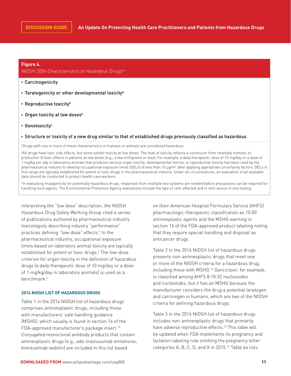#### **Figure 4.**

# NIOSH 2004 Characteristics of Hazardous Drugs<sup>4,a</sup>

- Carcinogenicity
- **Teratogenicity or other developmental toxicity**<sup>b</sup>
- **Reproductive toxicity**<sup>b</sup>
- **Organ toxicity at low doses**<sup>b</sup>
- **Genotoxicity<sup>c</sup>**

#### Structure or toxicity of a new drug similar to that of established drugs previously classified as hazardous

a Drugs with one or more of these characteristics in humans or animals are considered hazardous.

b All drugs have toxic side effects, but some exhibit toxicity at low doses. The level of toxicity reflects a continuum from relatively nontoxic to production of toxic effects in patients at low doses (e.g., a few milligrams or less). For example, a daily therapeutic dose of 10 mg/day or a dose of 1 mg/kg per day in laboratory animals that produces serious organ toxicity, developmental toxicity, or reproductive toxicity has been used by the pharmaceutical industry to develop occupational exposure limits (OELs) of less than 10 μg/m<sup>3</sup> after applying appropriate uncertainty factors. OELs in this range are typically established for potent or toxic drugs in the pharmaceutical industry. Under all circumstances, an evaluation of all available data should be conducted to protect health care workers.

c In evaluating mutagenicity for potentially hazardous drugs, responses from multiple test systems are needed before precautions can be required for handling such agents. The Environmental Protection Agency evaluations include the type of cells affected and in vitro versus in vivo testing.

interpreting the "low dose" description, the NIOSH Hazardous Drug Safety Working Group cited a series of publications authored by pharmaceutical industry toxicologists describing industry "performance" practices defining "low-dose" effects.<sup>4</sup> In the pharmaceutical industry, occupational exposure limits based on laboratory animal toxicity are typically established for potent or toxic drugs.4 The low-dose criterion for organ toxicity in the definition of hazardous drugs (a daily therapeutic dose of 10 mg/day or a dose of 1 mg/kg/day in laboratory animals) is used as a benchmark.4

# **2014 NIOSH LIST OF HAZARDOUS DRUGS**

Table 1 in the 2014 NIOSH list of hazardous drugs comprises antineoplastic drugs, including those with manufacturers' safe handling guidance (MSHG), which usually is found in section 16 of the FDA-approved manufacturer's package insert.<sup>13</sup> Conjugated monoclonal antibody products that contain antineoplastic drugs (e.g., ado-trastuzumab emtansine, brentuximab vedotin) are included in this list based

on their American Hospital Formulary Service (AHFS) pharmacologic-therapeutic classification as 10:00 antineoplastic agents and the MSHG warning in section 16 of the FDA-approved product labeling noting that they require special handling and disposal as anticancer drugs.

Table 2 in the 2014 NIOSH list of hazardous drugs presents non-antineoplastic drugs that meet one or more of the NIOSH criteria for a hazardous drug, including those with MSHG.<sup>13</sup> Ganciclovir, for example, is classified among AHFS 8:18:32 nucleosides and nucleotides, but it has an MSHG because the manufacturer considers the drug a potential teratogen and carcinogen in humans, which are two of the NIOSH criteria for defining hazardous drugs.

Table 3 in the 2014 NIOSH list of hazardous drugs includes non-antineoplastic drugs that primarily have adverse reproductive effects.<sup>13</sup> This table will be updated when FDA implements its pregnancy and lactation labeling rule omitting the pregnancy letter categories A, B, C, D, and X in 2015.<sup>16</sup> Table 4a lists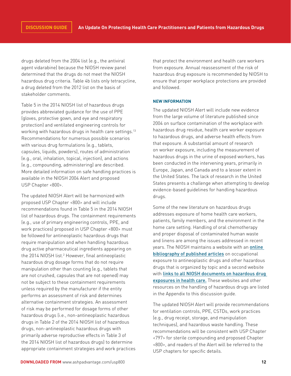drugs deleted from the 2004 list (e.g., the antiviral agent vidarabine) because the NIOSH review panel determined that the drugs do not meet the NIOSH hazardous drug criteria. Table 4b lists only tetracycline, a drug deleted from the 2012 list on the basis of stakeholder comments.

Table 5 in the 2014 NIOSH list of hazardous drugs provides abbreviated guidance for the use of PPE (gloves, protective gown, and eye and respiratory protection) and ventilated engineering controls for working with hazardous drugs in health care settings.<sup>13</sup> Recommendations for numerous possible scenarios with various drug formulations (e.g., tablets, capsules, liquids, powders), routes of administration (e.g., oral, inhalation, topical, injection), and actions (e.g., compounding, administering) are described. More detailed information on safe handling practices is available in the NIOSH 2004 Alert and proposed USP Chapter <800>.

The updated NIOSH Alert will be harmonized with proposed USP Chapter <800> and will include recommendations found in Table 5 in the 2014 NIOSH list of hazardous drugs. The containment requirements (e.g., use of primary engineering controls, PPE, and work practices) proposed in USP Chapter <800> must be followed for antineoplastic hazardous drugs that require manipulation and when handling hazardous drug active pharmaceutical ingredients appearing on the 2014 NIOSH list.<sup>2</sup> However, final antineoplastic hazardous drug dosage forms that do not require manipulation other than counting (e.g., tablets that are not crushed, capsules that are not opened) may not be subject to these containment requirements unless required by the manufacturer if the entity performs an assessment of risk and determines alternative containment strategies. An assessment of risk may be performed for dosage forms of other hazardous drugs (i.e., non-antineoplastic hazardous drugs in Table 2 of the 2014 NIOSH list of hazardous drugs, non-antineoplastic hazardous drugs with primarily adverse reproductive effects in Table 3 of the 2014 NIOSH list of hazardous drugs) to determine appropriate containment strategies and work practices

that protect the environment and health care workers from exposure. Annual reassessment of the risk of hazardous drug exposure is recommended by NIOSH to ensure that proper workplace protections are provided and followed.

#### **NEW INFORMATION**

The updated NIOSH Alert will include new evidence from the large volume of literature published since 2004 on surface contamination of the workplace with hazardous drug residue, health care worker exposure to hazardous drugs, and adverse health effects from that exposure. A substantial amount of research on worker exposure, including the measurement of hazardous drugs in the urine of exposed workers, has been conducted in the intervening years, primarily in Europe, Japan, and Canada and to a lesser extent in the United States. The lack of research in the United States presents a challenge when attempting to develop evidence-based guidelines for handling hazardous drugs.

Some of the new literature on hazardous drugs addresses exposure of home health care workers, patients, family members, and the environment in the home care setting. Handling of oral chemotherapy and proper disposal of contaminated human waste and linens are among the issues addressed in recent years. The NIOSH maintains a website with an **online** [bibliography of published articles](http://www.cdc.gov/niosh/topics/antineoplastic/) on occupational exposure to antineoplastic drugs and other hazardous drugs that is organized by topic and a second website with links to all NIOSH documents on hazardous drug exposures in health care. These websites and other resources on the handling of hazardous drugs are listed in the Appendix to this discussion guide.

The updated NIOSH Alert will provide recommendations for ventilation controls, PPE, CSTDs, work practices (e.g., drug receipt, storage, and manipulation techniques), and hazardous waste handling. These recommendations will be consistent with USP Chapter <797> for sterile compounding and proposed Chapter <800>, and readers of the Alert will be referred to the USP chapters for specific details.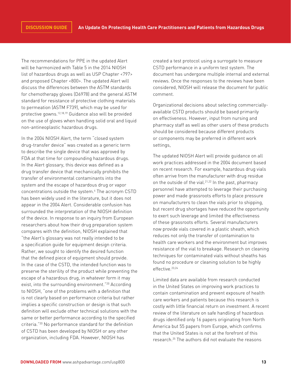The recommendations for PPE in the updated Alert will be harmonized with Table 5 in the 2014 NIOSH list of hazardous drugs as well as USP Chapter <797> and proposed Chapter <800>. The updated Alert will discuss the differences between the ASTM standards for chemotherapy gloves (D6978) and the general ASTM standard for resistance of protective clothing materials to permeation (ASTM F739), which may be used for protective gowns.12,18,19 Guidance also will be provided on the use of gloves when handling solid oral and liquid non-antineoplastic hazardous drugs.

In the 2004 NIOSH Alert, the term "closed system drug-transfer device" was created as a generic term to describe the single device that was approved by FDA at that time for compounding hazardous drugs. In the Alert glossary, this device was defined as a drug transfer device that mechanically prohibits the transfer of environmental contaminants into the system and the escape of hazardous drug or vapor concentrations outside the system.4 The acronym CSTD has been widely used in the literature, but it does not appear in the 2004 Alert. Considerable confusion has surrounded the interpretation of the NIOSH definition of the device. In response to an inquiry from European researchers about how their drug preparation system compares with the definition, NIOSH explained that "the Alert's glossary was not really intended to be a specification guide for equipment design criteria. Rather, we sought to identify the desired function that the defined piece of equipment should provide. In the case of the CSTD, the intended function was to preserve the sterility of the product while preventing the escape of a hazardous drug, in whatever form it may exist, into the surrounding environment."<sup>20</sup> According to NIOSH, "one of the problems with a definition that is not clearly based on performance criteria but rather implies a specific construction or design is that such definition will exclude other technical solutions with the same or better performance according to the specified criteria."20 No performance standard for the definition of CSTD has been developed by NIOSH or any other organization, including FDA. However, NIOSH has

created a test protocol using a surrogate to measure CSTD performance in a uniform test system. The document has undergone multiple internal and external reviews. Once the responses to the reviews have been considered, NIOSH will release the document for public comment.

Organizational decisions about selecting commerciallyavailable CSTD products should be based primarily on effectiveness. However, input from nursing and pharmacy staff as well as other users of these products should be considered because different products or components may be preferred in different work settings,

The updated NIOSH Alert will provide guidance on all work practices addressed in the 2004 document based on recent research. For example, hazardous drug vials often arrive from the manufacturer with drug residue on the outside of the vial.<sup>21,22</sup> In the past, pharmacy personnel have attempted to leverage their purchasing power and made grassroots efforts to place pressure on manufacturers to clean the vials prior to shipping, but recent drug shortages have reduced the opportunity to exert such leverage and limited the effectiveness of these grassroots efforts. Several manufacturers now provide vials covered in a plastic sheath, which reduces not only the transfer of contamination to health care workers and the environment but improves resistance of the vial to breakage. Research on cleaning techniques for contaminated vials without sheaths has found no procedure or cleaning solution to be highly effective.<sup>23,24</sup>

Limited data are available from research conducted in the United States on improving work practices to contain contamination and prevent exposure of health care workers and patients because this research is costly with little financial return on investment. A recent review of the literature on safe handling of hazardous drugs identified only 16 papers originating from North America but 55 papers from Europe, which confirms that the United States is not at the forefront of this research.<sup>25</sup> The authors did not evaluate the reasons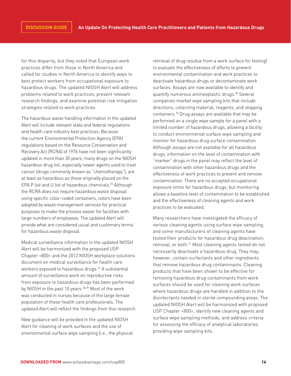for this disparity, but they noted that European work practices differ from those in North America and called for studies in North America to identify ways to best protect workers from occupational exposure to hazardous drugs. The updated NIOSH Alert will address problems related to work practices, present relevant research findings, and examine potential risk mitigation strategies related to work practices.

The hazardous waste handling information in the updated Alert will include relevant state and federal regulations and health care industry best practices. Because the current Environmental Protection Agency (EPA) regulations based on the Resource Conservation and Recovery Act (RCRA) of 1976 have not been significantly updated in more than 30 years, many drugs on the NIOSH hazardous drug list, especially newer agents used to treat cancer (drugs commonly known as "chemotherapy"), are at least as hazardous as those originally placed on the EPA P list and U list of hazardous chemicals.<sup>26</sup> Although the RCRA does not require hazardous waste disposal using specific color-coded containers, colors have been adopted by waste management services for practical purposes to make the process easier for facilities with large numbers of employees. The updated Alert will provide what are considered usual and customary terms for hazardous waste disposal.

Medical surveillance information in the updated NIOSH Alert will be harmonized with the proposed USP Chapter <800> and the 2012 NIOSH workplace solutions document on medical surveillance for health care workers exposed to hazardous drugs.<sup>27</sup> A substantial amount of surveillance work on reproductive risks from exposure to hazardous drugs has been performed by NIOSH in the past 10 years.<sup>28,29</sup> Most of the work was conducted in nurses because of the large female population of these health care professionals. The updated Alert will reflect the findings from this research.

New guidance will be provided in the updated NIOSH Alert for cleaning of work surfaces and the use of environmental surface wipe sampling (i.e., the physical

retrieval of drug residue from a work surface for testing) to evaluate the effectiveness of efforts to prevent environmental contamination and work practices to deactivate hazardous drugs or decontaminate work surfaces. Assays are now available to identify and quantify numerous antineoplastic drugs.<sup>30</sup> Several companies market wipe sampling kits that include directions, collecting material, reagents, and shipping containers.30 Drug assays are available that may be performed on a single wipe sample for a panel with a limited number of hazardous drugs, allowing a facility to conduct environmental surface wipe sampling and monitor for hazardous drug surface contamination. Although assays are not available for all hazardous drugs, information on the level of contamination with "marker" drugs in the panel may reflect the level of contamination with other hazardous drugs and the effectiveness of work practices to prevent and remove contamination. There are no accepted occupational exposure limits for hazardous drugs, but monitoring allows a baseline level of contamination to be established and the effectiveness of cleaning agents and work practices to be evaluated.

Many researchers have investigated the efficacy of various cleaning agents using surface wipe sampling, and some manufacturers of cleaning agents have tested their products for hazardous drug deactivation, removal, or both.<sup>31</sup> Most cleaning agents tested do not necessarily deactivate a hazardous drug. They may, however, contain surfactants and other ingredients that remove hazardous drug contaminants. Cleaning products that have been shown to be effective for removing hazardous drug contaminants from work surfaces should be used for cleaning work surfaces where hazardous drugs are handled in addition to the disinfectants needed in sterile compounding areas. The updated NIOSH Alert will be harmonized with proposed USP Chapter <800>, identify new cleaning agents and surface wipe sampling methods, and address criteria for assessing the efficacy of analytical laboratories providing wipe sampling kits.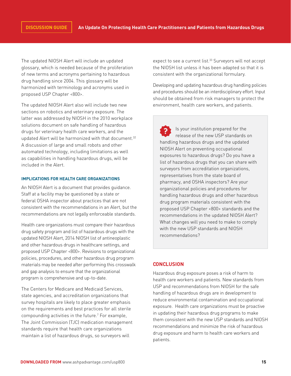The updated NIOSH Alert will include an updated glossary, which is needed because of the proliferation of new terms and acronyms pertaining to hazardous drug handling since 2004. This glossary will be harmonized with terminology and acronyms used in proposed USP Chapter <800>.

The updated NIOSH Alert also will include two new sections on robotics and veterinary exposure. The latter was addressed by NIOSH in the 2010 workplace solutions document on safe handling of hazardous drugs for veterinary health care workers, and the updated Alert will be harmonized with that document.<sup>32</sup> A discussion of large and small robots and other automated technology, including limitations as well as capabilities in handling hazardous drugs, will be included in the Alert.

# **IMPLICATIONS FOR HEALTH CARE ORGANIZATIONS**

An NIOSH Alert is a document that provides guidance. Staff at a facility may be questioned by a state or federal OSHA inspector about practices that are not consistent with the recommendations in an Alert, but the recommendations are not legally enforceable standards.

Health care organizations must compare their hazardous drug safety program and list of hazardous drugs with the updated NIOSH Alert, 2014 NIOSH list of antineoplastic and other hazardous drugs in healthcare settings, and proposed USP Chapter <800>. Revisions to organizational policies, procedures, and other hazardous drug program materials may be needed after performing this crosswalk and gap analysis to ensure that the organizational program is comprehensive and up-to-date.

The Centers for Medicare and Medicaid Services, state agencies, and accreditation organizations that survey hospitals are likely to place greater emphasis on the requirements and best practices for all sterile compounding activities in the future.7 For example, The Joint Commission (TJC) medication management standards require that health care organizations maintain a list of hazardous drugs, so surveyors will

expect to see a current list.<sup>33</sup> Surveyors will not accept the NIOSH list unless it has been adapted so that it is consistent with the organizational formulary.

Developing and updating hazardous drug handling policies and procedures should be an interdisciplinary effort. Input should be obtained from risk managers to protect the environment, health care workers, and patients.

Is your institution prepared for the release of the new USP standards on handling hazardous drugs and the updated NIOSH Alert on preventing occupational exposures to hazardous drugs? Do you have a list of hazardous drugs that you can share with surveyors from accreditation organizations, representatives from the state board of pharmacy, and OSHA inspectors? Are your organizational policies and procedures for handling hazardous drugs and other hazardous drug program materials consistent with the proposed USP Chapter <800> standards and the recommendations in the updated NIOSH Alert? What changes will you need to make to comply with the new USP standards and NIOSH recommendations?

# **CONCLUSION**

Hazardous drug exposure poses a risk of harm to health care workers and patients. New standards from USP and recommendations from NIOSH for the safe handling of hazardous drugs are in development to reduce environmental contamination and occupational exposure. Health care organizations must be proactive in updating their hazardous drug programs to make them consistent with the new USP standards and NIOSH recommendations and minimize the risk of hazardous drug exposure and harm to health care workers and patients.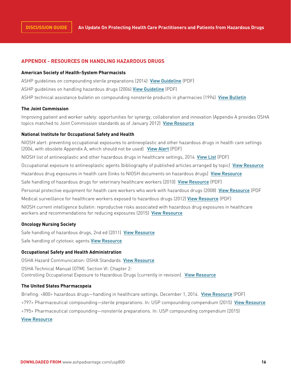# **APPENDIX - RESOURCES ON HANDLING HAZARDOUS DRUGS**

#### **American Society of Health-System Pharmacists**

ASHP guidelines on compounding sterile preparations (2014) [View Guideline](http://www.ashp.org/DocLibrary/BestPractices/PrepGdlCSP.asp) (PDF)

ASHP guidelines on handling hazardous drugs (2006) [View Guideline](http://www.ashp.org/DocLibrary/BestPractices/PrepGdlHazDrugs.aspx) (PDF)

ASHP technical assistance bulletin on compounding nonsterile products in pharmacies (1994) [View Bulletin](http://www.ashp.org/DocLibrary/BestPractices/PrepTABNonsterile.aspx)

#### **The Joint Commission**

Improving patient and worker safety: opportunities for synergy, collaboration and innovation (Appendix A provides OSHA topics matched to Joint Commission standards as of January 2012) [View Resource](http://www.jointcommission.org/improving_Patient_Worker_Safety)

#### **National Institute for Occupational Safety and Health**

NIOSH alert: preventing occupational exposures to antineoplastic and other hazardous drugs in health care settings (2004, with obsolete Appendix A, which should not be used) [View Alert](http://www.cdc.gov/niosh/docs/2004-165/pdfs/2004-165.pdf) (PDF) NIOSH list of antineoplastic and other hazardous drugs in healthcare settings, 2014 [View List](http://www.cdc.gov/niosh/docs/2014-138/pdfs/2014-138_v3.pdf) (PDF) Occupational exposure to antineoplastic agents (bibliography of published articles arranged by topic) [View Resource](http://www.cdc.gov/niosh/topics/antineoplastic) Hazardous drug exposures in health care (links to NIOSH documents on hazardous drugs) [View Resource](http://www.cdc.gov/niosh/topics/hazdrug/) Safe handling of hazardous drugs for veterinary healthcare workers (2010) [View Resource](http://www.cdc.gov/niosh/docs/wp-solutions/2010-150/pdfs/2010-150.pdf) (PDF) Personal protective equipment for health care workers who work with hazardous drugs (2008) [View Resource](http://www.cdc.gov/niosh/docs/wp-solutions/2009-106/pdfs/2009-106.pdf) (PDF Medical surveillance for healthcare workers exposed to hazardous drugs (2012) [View Resource](http://www.cdc.gov/niosh/docs/wp-solutions/2013-103/pdfs/2013-103.pdf) (PDF) NIOSH current intelligence bulletin: reproductive risks associated with hazardous drug exposures in healthcare workers and recommendations for reducing exposures (2015) [View Resource](http://www.gpo.gov/fdsys/pkg/FR-2015-01-23/html/2015-01209.htm) **Oncology Nursing Society**

Safe handling of hazardous drugs, 2nd ed (2011) [View Resource](https://www.ons.org/products/safe-handling-hazardous-drugs-second-edition) Safe handling of cytotoxic agents [View Resource](http://www.cmecorner.com/macmcm/ons/ons2002_11.htm)

# **Occupational Safety and Health Administration**

OSHA Hazard Communication: OSHA Standards [View Resource](http://www.osha.gov/dsg/hazcom/standards.html) OSHA Technical Manual (OTM). Section VI: Chapter 2: Controlling Occupational Exposure to Hazardous Drugs (currently in revision) [View Resource](http://www.osha.gov/dts/osta/otm/otm_vi/otm_vi_2.html)

#### **The United States Pharmacopeia**

Briefing: <800> hazardous drugs—handling in healthcare settings. December 1, 2014. [View Resource](http://www.usp.org/sites/default/files/usp_pdf/EN/m7808_pre-post.pdf) (PDF) <797> Pharmaceutical compounding—sterile preparations. In: USP compounding compendium (2015) [View Resource](http://www.usp.org/store/products-services/usp-compounding-compendium) <795> Pharmaceutical compounding—nonsterile preparations. In: USP compounding compendium (2015) [View Resource](http://www.usp.org/store/products-services/usp-compounding-compendium)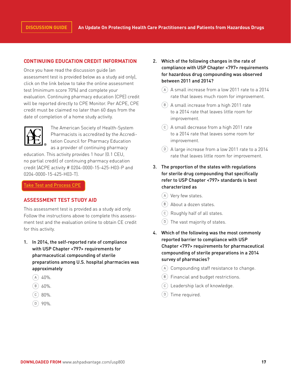# **CONTINUING EDUCATION CREDIT INFORMATION**

Once you have read the discussion guide (an assessment test is provided below as a study aid only), click on the link below to take the online assessment test (minimum score 70%) and complete your evaluation. Continuing pharmacy education (CPE) credit will be reported directly to CPE Monitor. Per ACPE, CPE credit must be claimed no later than 60 days from the date of completion of a home study activity.



The American Society of Health-System Pharmacists is accredited by the Accreditation Council for Pharmacy Education as a provider of continuing pharmacy

education. This activity provides 1 hour (0.1 CEU, no partial credit) of continuing pharmacy education credit (ACPE activity # 0204-0000-15-425-H03-P and 0204-0000-15-425-H03-T).

[Take Test and Process CPE](http://elearning.ashp.org/activity/Detail/AutoEnroll?productId=18419b6f-ec6a-453f-ba11-7357f25ddf4d)

# **ASSESSMENT TEST STUDY AID**

This assessment test is provided as a study aid only. Follow the instructions above to complete this assessment test and the evaluation online to obtain CE credit for this activity.

- 1. In 2014, the self-reported rate of compliance with USP Chapter <797> requirements for pharmaceutical compounding of sterile preparations among U.S. hospital pharmacies was approximately
	- $(A)$  40%.
	- $(B) 60\%$ .
	- $C$  80%.
	- $(D)$  90%.
- 2. Which of the following changes in the rate of compliance with USP Chapter <797> requirements for hazardous drug compounding was observed between 2011 and 2014?
	- $(A)$  A small increase from a low 2011 rate to a 2014 rate that leaves much room for improvement.
	- A small increase from a high 2011 rate to a 2014 rate that leaves little room for improvement.
	- A small decrease from a high 2011 rate to a 2014 rate that leaves some room for improvement.
	- A large increase from a low 2011 rate to a 2014 rate that leaves little room for improvement.
- 3. The proportion of the states with regulations for sterile drug compounding that specifically refer to USP Chapter <797> standards is best characterized as
	- Very few states.
	- About a dozen states.
	- Roughly half of all states.
	- The vast majority of states.
- 4. Which of the following was the most commonly reported barrier to compliance with USP Chapter <797> requirements for pharmaceutical compounding of sterile preparations in a 2014 survey of pharmacies?
	- Compounding staff resistance to change.
	- $(B)$  Financial and budget restrictions.
	- Leadership lack of knowledge.
	- $(D)$  Time required.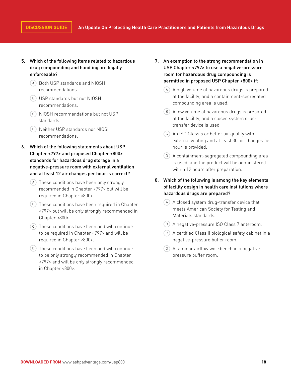- 5. Which of the following items related to hazardous drug compounding and handling are legally enforceable?
	- Both USP standards and NIOSH recommendations.
	- USP standards but not NIOSH recommendations.
	- NIOSH recommendations but not USP standards.
	- Neither USP standards nor NIOSH recommendations.
- 6. Which of the following statements about USP Chapter <797> and proposed Chapter <800> standards for hazardous drug storage in a negative-pressure room with external ventilation and at least 12 air changes per hour is correct?
	- (A) These conditions have been only strongly recommended in Chapter <797> but will be required in Chapter <800>.
	- $(B)$  These conditions have been required in Chapter <797> but will be only strongly recommended in Chapter <800>.
	- $(c)$  These conditions have been and will continue to be required in Chapter <797> and will be required in Chapter <800>.
	- $(D)$  These conditions have been and will continue to be only strongly recommended in Chapter <797> and will be only strongly recommended in Chapter <800>.
- 7. An exemption to the strong recommendation in USP Chapter <797> to use a negative-pressure room for hazardous drug compounding is permitted in proposed USP Chapter <800> if:
	- A high volume of hazardous drugs is prepared at the facility, and a containment-segregated compounding area is used.
	- $(B)$  A low volume of hazardous drugs is prepared at the facility, and a closed system drugtransfer device is used.
	- $(c)$  An ISO Class 5 or better air quality with external venting and at least 30 air changes per hour is provided.
	- $(D)$  A containment-segregated compounding area is used, and the product will be administered within 12 hours after preparation.
- 8. Which of the following is among the key elements of facility design in health care institutions where hazardous drugs are prepared?
	- A closed system drug-transfer device that meets American Society for Testing and Materials standards.
	- A negative-pressure ISO Class 7 anteroom.
	- A certified Class II biological safety cabinet in a negative-pressure buffer room.
	- A laminar airflow workbench in a negativepressure buffer room.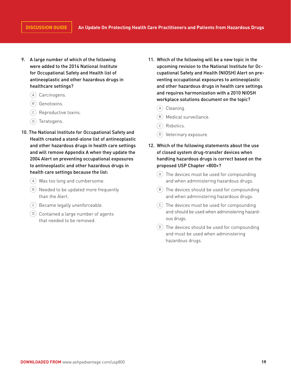- 9. A large number of which of the following were added to the 2014 National Institute for Occupational Safety and Health list of antineoplastic and other hazardous drugs in healthcare settings?
	- (A) Carcinogens.
	- Genotoxins.
	- Reproductive toxins.
	- Teratogens.
- 10. The National Institute for Occupational Safety and Health created a stand-alone list of antineoplastic and other hazardous drugs in health care settings and will remove Appendix A when they update the 2004 Alert on preventing occupational exposures to antineoplastic and other hazardous drugs in health care settings because the list:
	- Was too long and cumbersome.
	- (B) Needed to be updated more frequently than the Alert.
	- Became legally unenforceable.
	- $(D)$  Contained a large number of agents that needed to be removed.
- 11. Which of the following will be a new topic in the upcoming revision to the National Institute for Occupational Safety and Health (NIOSH) Alert on preventing occupational exposures to antineoplastic and other hazardous drugs in health care settings and requires harmonization with a 2010 NIOSH workplace solutions document on the topic?
	- (A) Cleaning.
	- Medical surveillance.
	- C Robotics.
	- Veterinary exposure.
- 12. Which of the following statements about the use of closed system drug-transfer devices when handling hazardous drugs is correct based on the proposed USP Chapter <800>?
	- The devices must be used for compounding and when administering hazardous drugs.
	- $(B)$  The devices should be used for compounding and when administering hazardous drugs.
	- $(c)$  The devices must be used for compounding and should be used when administering hazardous drugs.
	- $(D)$  The devices should be used for compounding and must be used when administering hazardous drugs.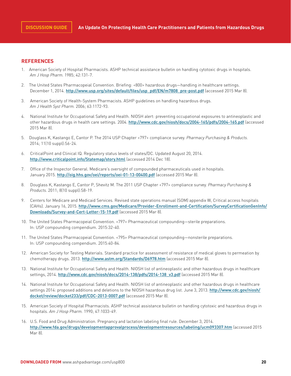# **REFERENCES**

- 1. American Society of Hospital Pharmacists. ASHP technical assistance bulletin on handling cytotoxic drugs in hospitals. *Am J Hosp Pharm.* 1985; 42:131-7.
- 2. The United States Pharmacopeial Convention. Briefing: <800> hazardous drugs—handling in healthcare settings. December 1, 2014. [http://www.usp.org/sites/default/files/usp\\_pdf/EN/m7808\\_pre-post.pdf](http://www.usp.org/sites/default/files/usp_pdf/EN/m7808_pre-post.pdf) (accessed 2015 Mar 8).
- 3. American Society of Health-System Pharmacists. ASHP guidelines on handling hazardous drugs. *Am J Health Syst Pharm.* 2006; 63:1172-93.
- 4. National Institute for Occupational Safety and Health. NIOSH alert: preventing occupational exposures to antineoplastic and other hazardous drugs in health care settings. 2004. <http://www.cdc.gov/niosh/docs/2004-165/pdfs/2004-165.pdf> (accessed 2015 Mar 8).
- 5. Douglass K, Kastango E, Cantor P. The 2014 USP Chapter <797> compliance survey. *Pharmacy Purchasing & Products.* 2014; 11(10 suppl):S6-24.
- 6. CriticalPoint and Clinical IQ. Regulatory status levels of states/DC. Updated August 20, 2014. <http://www.criticalpoint.info/Statemap/story.html> (accessed 2014 Dec 18).
- 7. Office of the Inspector General. Medicare's oversight of compounded pharmaceuticals used in hospitals. January 2015. <http://oig.hhs.gov/oei/reports/oei-01-13-00400.pdf> (accessed 2015 Mar 8).
- 8. Douglass K, Kastango E, Cantor P, Shevitz M. The 2011 USP Chapter <797> compliance survey. *Pharmacy Purchasing & Products.* 2011; 8(10 suppl):S8-19.
- 9. Centers for Medicare and Medicaid Services. Revised state operations manual (SOM) appendix W, Critical access hospitals (CAHs). January 16, 2015. [http://www.cms.gov/Medicare/Provider-Enrollment-and-Certification/SurveyCertificationGenInfo/](http://www.cms.gov/Medicare/Provider-Enrollment-and-Certification/SurveyCertificationGenInfo/Downloads/Survey-and-Cert-Letter-15-19.pdf) [Downloads/Survey-and-Cert-Letter-15-19.pdf](http://www.cms.gov/Medicare/Provider-Enrollment-and-Certification/SurveyCertificationGenInfo/Downloads/Survey-and-Cert-Letter-15-19.pdf) (accessed 2015 Mar 8).
- 10. The United States Pharmacopeial Convention. <797> Pharmaceutical compounding—sterile preparations. In: USP compounding compendium. 2015:32-40.
- 11. The United States Pharmacopeial Convention. <795> Pharmaceutical compounding—nonsterile preparations. In: USP compounding compendium. 2015:40-84.
- 12. American Society for Testing Materials. Standard practice for assessment of resistance of medical gloves to permeation by chemotherapy drugs. 2013. <http://www.astm.org/Standards/D6978.htm> (accessed 2015 Mar 8).
- 13. National Institute for Occupational Safety and Health. NIOSH list of antineoplastic and other hazardous drugs in healthcare settings, 2014. [http://www.cdc.gov/niosh/docs/2014-138/pdfs/2014-138\\_v3.pdf](http://www.cdc.gov/niosh/docs/2014-138/pdfs/2014-138_v3.pdf) (accessed 2015 Mar 8).
- 14. National Institute for Occupational Safety and Health. NIOSH list of antineoplastic and other hazardous drugs in healthcare settings 2014: proposed additions and deletions to the NIOSH hazardous drug list. June 3, 2013. [http://www.cdc.gov/niosh/](http://www.cdc.gov/niosh/docket/review/docket233/pdf/CDC-2013-0007.pdf) [docket/review/docket233/pdf/CDC-2013-0007.pdf](http://www.cdc.gov/niosh/docket/review/docket233/pdf/CDC-2013-0007.pdf) (accessed 2015 Mar 8).
- 15. American Society of Hospital Pharmacists. ASHP technical assistance bulletin on handling cytotoxic and hazardous drugs in hospitals. *Am J Hosp Pharm.* 1990; 47:1033-49.
- 16. U.S. Food and Drug Administration. Pregnancy and lactation labeling final rule. December 3, 2014. <http://www.fda.gov/drugs/developmentapprovalprocess/developmentresources/labeling/ucm093307.htm> (accessed 2015 Mar 8).